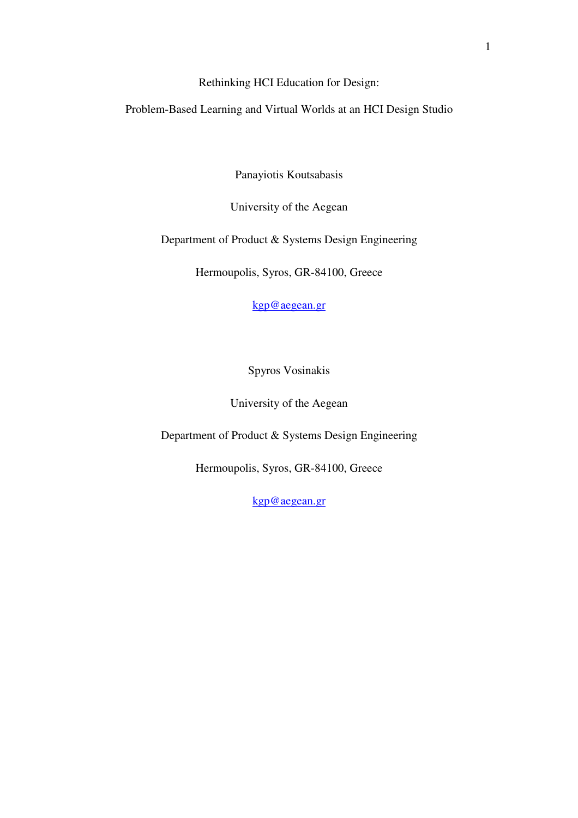Rethinking HCI Education for Design:

Problem-Based Learning and Virtual Worlds at an HCI Design Studio

Panayiotis Koutsabasis

University of the Aegean

Department of Product & Systems Design Engineering

Hermoupolis, Syros, GR-84100, Greece

kgp@aegean.gr

Spyros Vosinakis

University of the Aegean

Department of Product & Systems Design Engineering

Hermoupolis, Syros, GR-84100, Greece

kgp@aegean.gr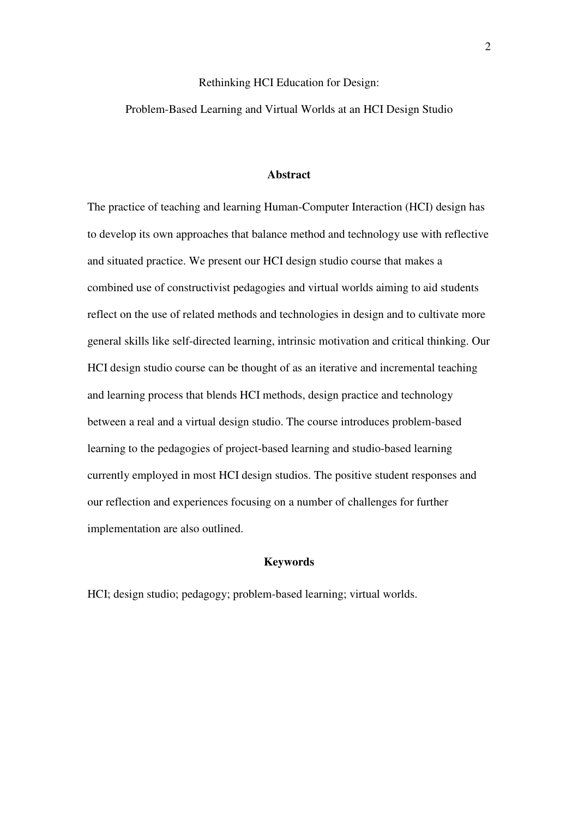# Rethinking HCI Education for Design:

Problem-Based Learning and Virtual Worlds at an HCI Design Studio

# **Abstract**

The practice of teaching and learning Human-Computer Interaction (HCI) design has to develop its own approaches that balance method and technology use with reflective and situated practice. We present our HCI design studio course that makes a combined use of constructivist pedagogies and virtual worlds aiming to aid students reflect on the use of related methods and technologies in design and to cultivate more general skills like self-directed learning, intrinsic motivation and critical thinking. Our HCI design studio course can be thought of as an iterative and incremental teaching and learning process that blends HCI methods, design practice and technology between a real and a virtual design studio. The course introduces problem-based learning to the pedagogies of project-based learning and studio-based learning currently employed in most HCI design studios. The positive student responses and our reflection and experiences focusing on a number of challenges for further implementation are also outlined.

# **Keywords**

HCI; design studio; pedagogy; problem-based learning; virtual worlds.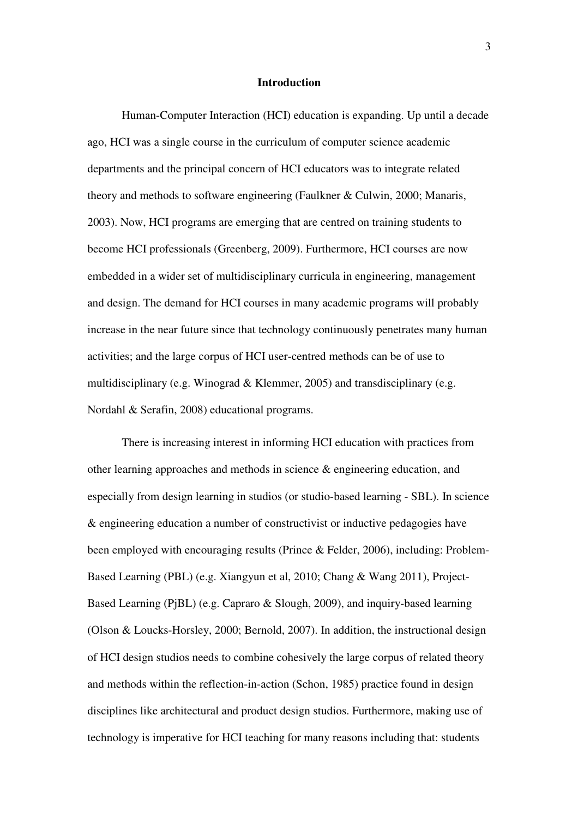### **Introduction**

Human-Computer Interaction (HCI) education is expanding. Up until a decade ago, HCI was a single course in the curriculum of computer science academic departments and the principal concern of HCI educators was to integrate related theory and methods to software engineering (Faulkner & Culwin, 2000; Manaris, 2003). Now, HCI programs are emerging that are centred on training students to become HCI professionals (Greenberg, 2009). Furthermore, HCI courses are now embedded in a wider set of multidisciplinary curricula in engineering, management and design. The demand for HCI courses in many academic programs will probably increase in the near future since that technology continuously penetrates many human activities; and the large corpus of HCI user-centred methods can be of use to multidisciplinary (e.g. Winograd & Klemmer, 2005) and transdisciplinary (e.g. Nordahl & Serafin, 2008) educational programs.

There is increasing interest in informing HCI education with practices from other learning approaches and methods in science & engineering education, and especially from design learning in studios (or studio-based learning - SBL). In science & engineering education a number of constructivist or inductive pedagogies have been employed with encouraging results (Prince & Felder, 2006), including: Problem-Based Learning (PBL) (e.g. Xiangyun et al, 2010; Chang & Wang 2011), Project-Based Learning (PjBL) (e.g. Capraro & Slough, 2009), and inquiry-based learning (Olson & Loucks-Horsley, 2000; Bernold, 2007). In addition, the instructional design of HCI design studios needs to combine cohesively the large corpus of related theory and methods within the reflection-in-action (Schon, 1985) practice found in design disciplines like architectural and product design studios. Furthermore, making use of technology is imperative for HCI teaching for many reasons including that: students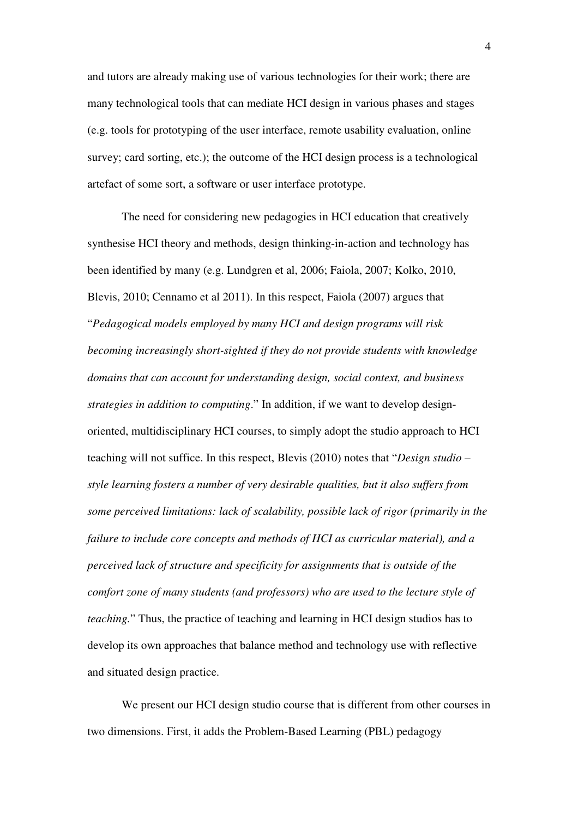and tutors are already making use of various technologies for their work; there are many technological tools that can mediate HCI design in various phases and stages (e.g. tools for prototyping of the user interface, remote usability evaluation, online survey; card sorting, etc.); the outcome of the HCI design process is a technological artefact of some sort, a software or user interface prototype.

The need for considering new pedagogies in HCI education that creatively synthesise HCI theory and methods, design thinking-in-action and technology has been identified by many (e.g. Lundgren et al, 2006; Faiola, 2007; Kolko, 2010, Blevis, 2010; Cennamo et al 2011). In this respect, Faiola (2007) argues that "*Pedagogical models employed by many HCI and design programs will risk becoming increasingly short-sighted if they do not provide students with knowledge domains that can account for understanding design, social context, and business strategies in addition to computing*." In addition, if we want to develop designoriented, multidisciplinary HCI courses, to simply adopt the studio approach to HCI teaching will not suffice. In this respect, Blevis (2010) notes that "*Design studio – style learning fosters a number of very desirable qualities, but it also suffers from some perceived limitations: lack of scalability, possible lack of rigor (primarily in the failure to include core concepts and methods of HCI as curricular material), and a perceived lack of structure and specificity for assignments that is outside of the comfort zone of many students (and professors) who are used to the lecture style of teaching.*" Thus, the practice of teaching and learning in HCI design studios has to develop its own approaches that balance method and technology use with reflective and situated design practice.

We present our HCI design studio course that is different from other courses in two dimensions. First, it adds the Problem-Based Learning (PBL) pedagogy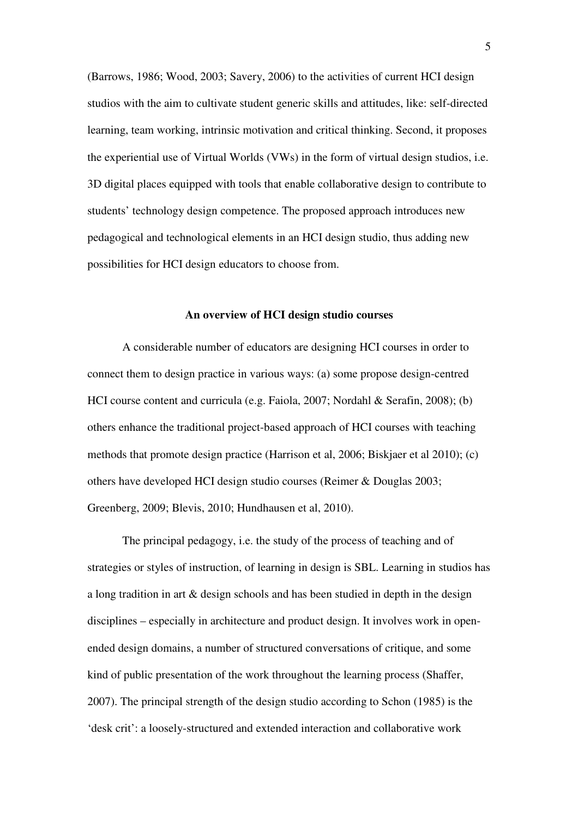(Barrows, 1986; Wood, 2003; Savery, 2006) to the activities of current HCI design studios with the aim to cultivate student generic skills and attitudes, like: self-directed learning, team working, intrinsic motivation and critical thinking. Second, it proposes the experiential use of Virtual Worlds (VWs) in the form of virtual design studios, i.e. 3D digital places equipped with tools that enable collaborative design to contribute to students' technology design competence. The proposed approach introduces new pedagogical and technological elements in an HCI design studio, thus adding new possibilities for HCI design educators to choose from.

# **An overview of HCI design studio courses**

A considerable number of educators are designing HCI courses in order to connect them to design practice in various ways: (a) some propose design-centred HCI course content and curricula (e.g. Faiola, 2007; Nordahl & Serafin, 2008); (b) others enhance the traditional project-based approach of HCI courses with teaching methods that promote design practice (Harrison et al, 2006; Biskjaer et al 2010); (c) others have developed HCI design studio courses (Reimer & Douglas 2003; Greenberg, 2009; Blevis, 2010; Hundhausen et al, 2010).

The principal pedagogy, i.e. the study of the process of teaching and of strategies or styles of instruction, of learning in design is SBL. Learning in studios has a long tradition in art & design schools and has been studied in depth in the design disciplines – especially in architecture and product design. It involves work in openended design domains, a number of structured conversations of critique, and some kind of public presentation of the work throughout the learning process (Shaffer, 2007). The principal strength of the design studio according to Schon (1985) is the 'desk crit': a loosely-structured and extended interaction and collaborative work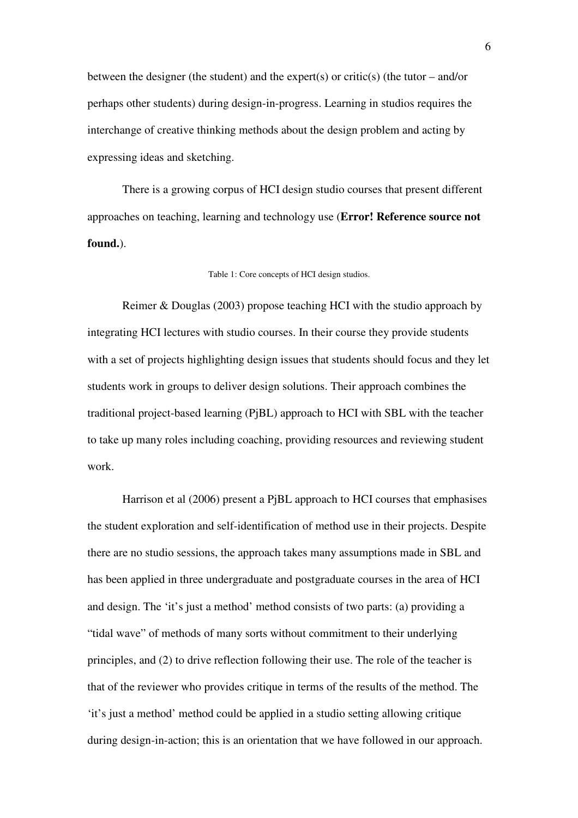between the designer (the student) and the expert(s) or critic(s) (the tutor – and/or perhaps other students) during design-in-progress. Learning in studios requires the interchange of creative thinking methods about the design problem and acting by expressing ideas and sketching.

There is a growing corpus of HCI design studio courses that present different approaches on teaching, learning and technology use (**Error! Reference source not found.**).

Table 1: Core concepts of HCI design studios.

Reimer & Douglas (2003) propose teaching HCI with the studio approach by integrating HCI lectures with studio courses. In their course they provide students with a set of projects highlighting design issues that students should focus and they let students work in groups to deliver design solutions. Their approach combines the traditional project-based learning (PjBL) approach to HCI with SBL with the teacher to take up many roles including coaching, providing resources and reviewing student work.

Harrison et al (2006) present a PjBL approach to HCI courses that emphasises the student exploration and self-identification of method use in their projects. Despite there are no studio sessions, the approach takes many assumptions made in SBL and has been applied in three undergraduate and postgraduate courses in the area of HCI and design. The 'it's just a method' method consists of two parts: (a) providing a "tidal wave" of methods of many sorts without commitment to their underlying principles, and (2) to drive reflection following their use. The role of the teacher is that of the reviewer who provides critique in terms of the results of the method. The 'it's just a method' method could be applied in a studio setting allowing critique during design-in-action; this is an orientation that we have followed in our approach.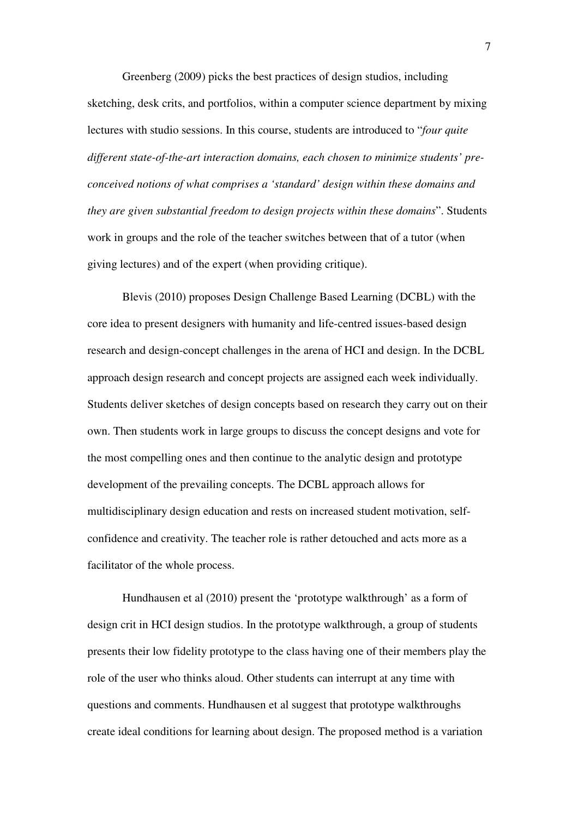Greenberg (2009) picks the best practices of design studios, including sketching, desk crits, and portfolios, within a computer science department by mixing lectures with studio sessions. In this course, students are introduced to "*four quite different state-of-the-art interaction domains, each chosen to minimize students' preconceived notions of what comprises a 'standard' design within these domains and they are given substantial freedom to design projects within these domains*". Students work in groups and the role of the teacher switches between that of a tutor (when giving lectures) and of the expert (when providing critique).

Blevis (2010) proposes Design Challenge Based Learning (DCBL) with the core idea to present designers with humanity and life-centred issues-based design research and design-concept challenges in the arena of HCI and design. In the DCBL approach design research and concept projects are assigned each week individually. Students deliver sketches of design concepts based on research they carry out on their own. Then students work in large groups to discuss the concept designs and vote for the most compelling ones and then continue to the analytic design and prototype development of the prevailing concepts. The DCBL approach allows for multidisciplinary design education and rests on increased student motivation, selfconfidence and creativity. The teacher role is rather detouched and acts more as a facilitator of the whole process.

Hundhausen et al (2010) present the 'prototype walkthrough' as a form of design crit in HCI design studios. In the prototype walkthrough, a group of students presents their low fidelity prototype to the class having one of their members play the role of the user who thinks aloud. Other students can interrupt at any time with questions and comments. Hundhausen et al suggest that prototype walkthroughs create ideal conditions for learning about design. The proposed method is a variation

7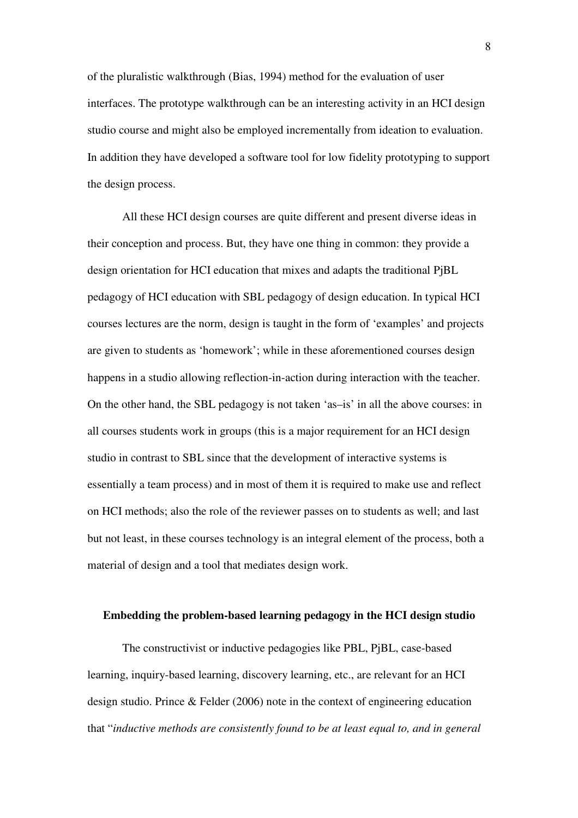of the pluralistic walkthrough (Bias, 1994) method for the evaluation of user interfaces. The prototype walkthrough can be an interesting activity in an HCI design studio course and might also be employed incrementally from ideation to evaluation. In addition they have developed a software tool for low fidelity prototyping to support the design process.

All these HCI design courses are quite different and present diverse ideas in their conception and process. But, they have one thing in common: they provide a design orientation for HCI education that mixes and adapts the traditional PjBL pedagogy of HCI education with SBL pedagogy of design education. In typical HCI courses lectures are the norm, design is taught in the form of 'examples' and projects are given to students as 'homework'; while in these aforementioned courses design happens in a studio allowing reflection-in-action during interaction with the teacher. On the other hand, the SBL pedagogy is not taken 'as–is' in all the above courses: in all courses students work in groups (this is a major requirement for an HCI design studio in contrast to SBL since that the development of interactive systems is essentially a team process) and in most of them it is required to make use and reflect on HCI methods; also the role of the reviewer passes on to students as well; and last but not least, in these courses technology is an integral element of the process, both a material of design and a tool that mediates design work.

# **Embedding the problem-based learning pedagogy in the HCI design studio**

The constructivist or inductive pedagogies like PBL, PjBL, case-based learning, inquiry-based learning, discovery learning, etc., are relevant for an HCI design studio. Prince & Felder (2006) note in the context of engineering education that "*inductive methods are consistently found to be at least equal to, and in general*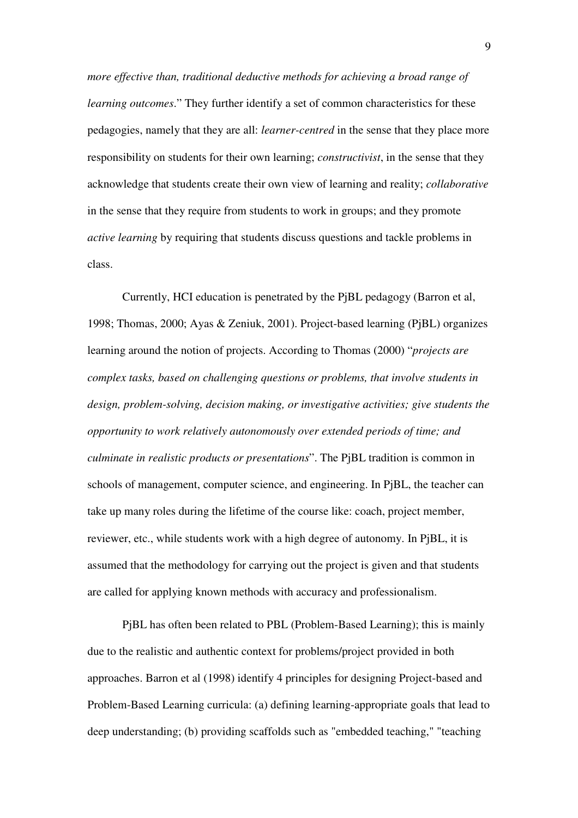*more effective than, traditional deductive methods for achieving a broad range of learning outcomes*." They further identify a set of common characteristics for these pedagogies, namely that they are all: *learner-centred* in the sense that they place more responsibility on students for their own learning; *constructivist*, in the sense that they acknowledge that students create their own view of learning and reality; *collaborative* in the sense that they require from students to work in groups; and they promote *active learning* by requiring that students discuss questions and tackle problems in class.

Currently, HCI education is penetrated by the PjBL pedagogy (Barron et al, 1998; Thomas, 2000; Ayas & Zeniuk, 2001). Project-based learning (PjBL) organizes learning around the notion of projects. According to Thomas (2000) "*projects are complex tasks, based on challenging questions or problems, that involve students in design, problem-solving, decision making, or investigative activities; give students the opportunity to work relatively autonomously over extended periods of time; and culminate in realistic products or presentations*". The PjBL tradition is common in schools of management, computer science, and engineering. In PjBL, the teacher can take up many roles during the lifetime of the course like: coach, project member, reviewer, etc., while students work with a high degree of autonomy. In PjBL, it is assumed that the methodology for carrying out the project is given and that students are called for applying known methods with accuracy and professionalism.

PjBL has often been related to PBL (Problem-Based Learning); this is mainly due to the realistic and authentic context for problems/project provided in both approaches. Barron et al (1998) identify 4 principles for designing Project-based and Problem-Based Learning curricula: (a) defining learning-appropriate goals that lead to deep understanding; (b) providing scaffolds such as "embedded teaching," "teaching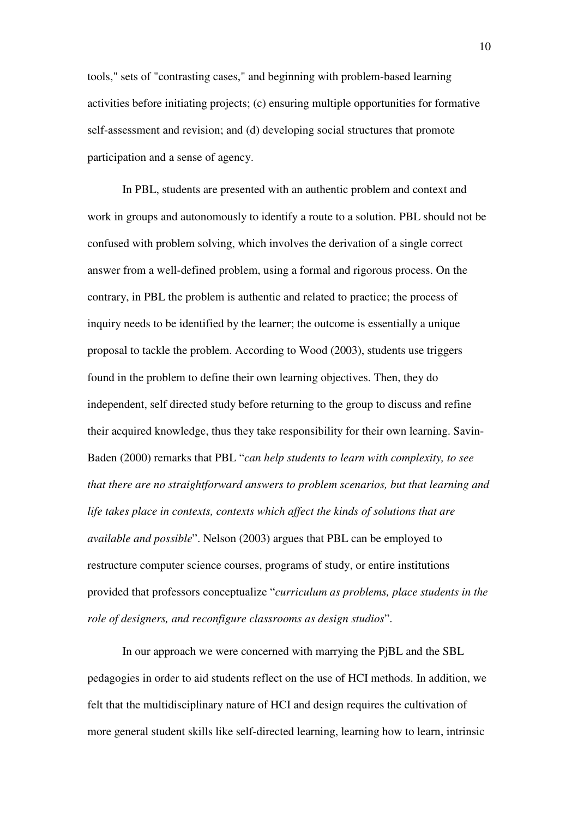tools," sets of "contrasting cases," and beginning with problem-based learning activities before initiating projects; (c) ensuring multiple opportunities for formative self-assessment and revision; and (d) developing social structures that promote participation and a sense of agency.

In PBL, students are presented with an authentic problem and context and work in groups and autonomously to identify a route to a solution. PBL should not be confused with problem solving, which involves the derivation of a single correct answer from a well-defined problem, using a formal and rigorous process. On the contrary, in PBL the problem is authentic and related to practice; the process of inquiry needs to be identified by the learner; the outcome is essentially a unique proposal to tackle the problem. According to Wood (2003), students use triggers found in the problem to define their own learning objectives. Then, they do independent, self directed study before returning to the group to discuss and refine their acquired knowledge, thus they take responsibility for their own learning. Savin-Baden (2000) remarks that PBL "*can help students to learn with complexity, to see that there are no straightforward answers to problem scenarios, but that learning and life takes place in contexts, contexts which affect the kinds of solutions that are available and possible*". Nelson (2003) argues that PBL can be employed to restructure computer science courses, programs of study, or entire institutions provided that professors conceptualize "*curriculum as problems, place students in the role of designers, and reconfigure classrooms as design studios*".

In our approach we were concerned with marrying the PjBL and the SBL pedagogies in order to aid students reflect on the use of HCI methods. In addition, we felt that the multidisciplinary nature of HCI and design requires the cultivation of more general student skills like self-directed learning, learning how to learn, intrinsic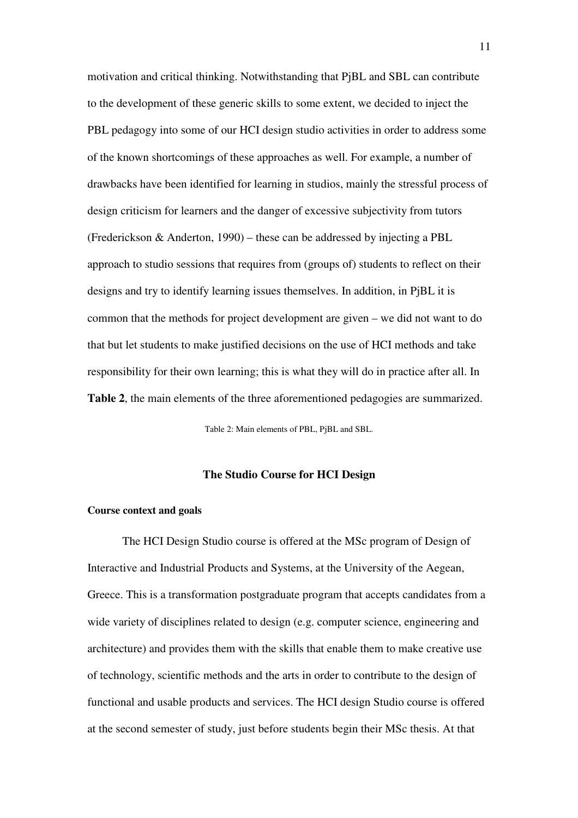motivation and critical thinking. Notwithstanding that PjBL and SBL can contribute to the development of these generic skills to some extent, we decided to inject the PBL pedagogy into some of our HCI design studio activities in order to address some of the known shortcomings of these approaches as well. For example, a number of drawbacks have been identified for learning in studios, mainly the stressful process of design criticism for learners and the danger of excessive subjectivity from tutors (Frederickson & Anderton, 1990) – these can be addressed by injecting a PBL approach to studio sessions that requires from (groups of) students to reflect on their designs and try to identify learning issues themselves. In addition, in PjBL it is common that the methods for project development are given – we did not want to do that but let students to make justified decisions on the use of HCI methods and take responsibility for their own learning; this is what they will do in practice after all. In **Table 2**, the main elements of the three aforementioned pedagogies are summarized.

Table 2: Main elements of PBL, PjBL and SBL.

### **The Studio Course for HCI Design**

### **Course context and goals**

The HCI Design Studio course is offered at the MSc program of Design of Interactive and Industrial Products and Systems, at the University of the Aegean, Greece. This is a transformation postgraduate program that accepts candidates from a wide variety of disciplines related to design (e.g. computer science, engineering and architecture) and provides them with the skills that enable them to make creative use of technology, scientific methods and the arts in order to contribute to the design of functional and usable products and services. The HCI design Studio course is offered at the second semester of study, just before students begin their MSc thesis. At that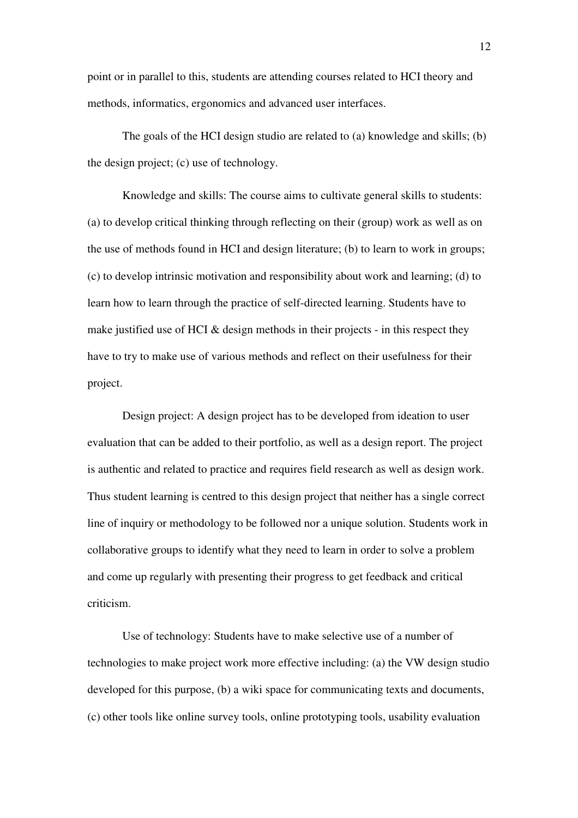point or in parallel to this, students are attending courses related to HCI theory and methods, informatics, ergonomics and advanced user interfaces.

The goals of the HCI design studio are related to (a) knowledge and skills; (b) the design project; (c) use of technology.

Knowledge and skills: The course aims to cultivate general skills to students: (a) to develop critical thinking through reflecting on their (group) work as well as on the use of methods found in HCI and design literature; (b) to learn to work in groups; (c) to develop intrinsic motivation and responsibility about work and learning; (d) to learn how to learn through the practice of self-directed learning. Students have to make justified use of HCI  $\&$  design methods in their projects - in this respect they have to try to make use of various methods and reflect on their usefulness for their project.

Design project: A design project has to be developed from ideation to user evaluation that can be added to their portfolio, as well as a design report. The project is authentic and related to practice and requires field research as well as design work. Thus student learning is centred to this design project that neither has a single correct line of inquiry or methodology to be followed nor a unique solution. Students work in collaborative groups to identify what they need to learn in order to solve a problem and come up regularly with presenting their progress to get feedback and critical criticism.

Use of technology: Students have to make selective use of a number of technologies to make project work more effective including: (a) the VW design studio developed for this purpose, (b) a wiki space for communicating texts and documents, (c) other tools like online survey tools, online prototyping tools, usability evaluation

12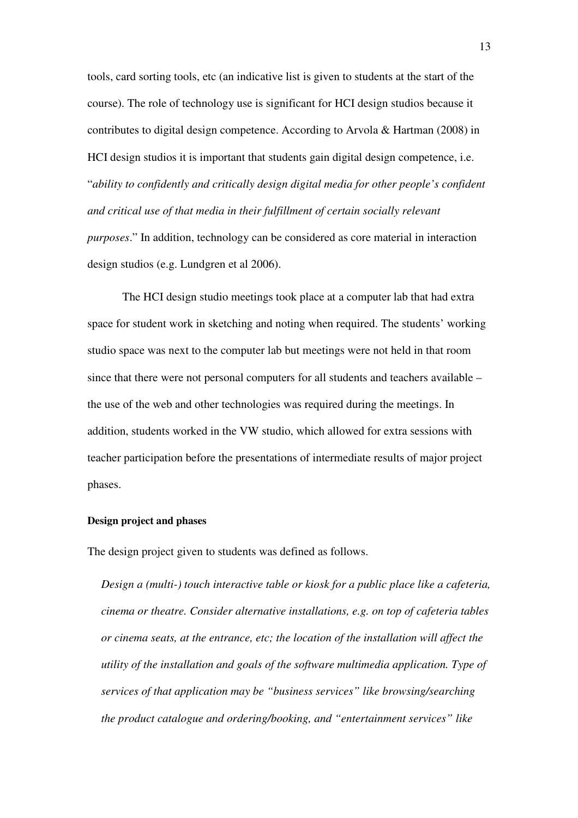tools, card sorting tools, etc (an indicative list is given to students at the start of the course). The role of technology use is significant for HCI design studios because it contributes to digital design competence. According to Arvola & Hartman (2008) in HCI design studios it is important that students gain digital design competence, i.e. "*ability to confidently and critically design digital media for other people's confident and critical use of that media in their fulfillment of certain socially relevant purposes*." In addition, technology can be considered as core material in interaction design studios (e.g. Lundgren et al 2006).

The HCI design studio meetings took place at a computer lab that had extra space for student work in sketching and noting when required. The students' working studio space was next to the computer lab but meetings were not held in that room since that there were not personal computers for all students and teachers available – the use of the web and other technologies was required during the meetings. In addition, students worked in the VW studio, which allowed for extra sessions with teacher participation before the presentations of intermediate results of major project phases.

#### **Design project and phases**

The design project given to students was defined as follows.

*Design a (multi-) touch interactive table or kiosk for a public place like a cafeteria, cinema or theatre. Consider alternative installations, e.g. on top of cafeteria tables or cinema seats, at the entrance, etc; the location of the installation will affect the utility of the installation and goals of the software multimedia application. Type of services of that application may be "business services" like browsing/searching the product catalogue and ordering/booking, and "entertainment services" like*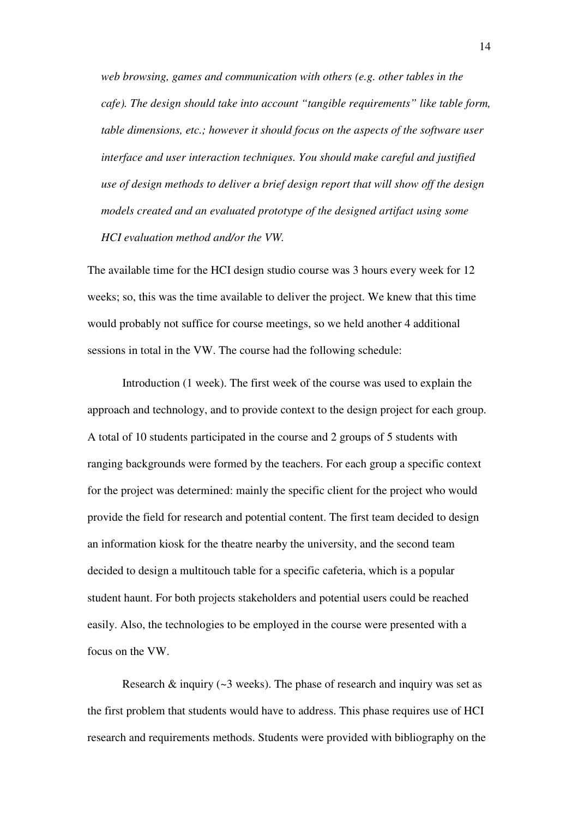*web browsing, games and communication with others (e.g. other tables in the cafe). The design should take into account "tangible requirements" like table form, table dimensions, etc.; however it should focus on the aspects of the software user interface and user interaction techniques. You should make careful and justified use of design methods to deliver a brief design report that will show off the design models created and an evaluated prototype of the designed artifact using some HCI evaluation method and/or the VW.* 

The available time for the HCI design studio course was 3 hours every week for 12 weeks; so, this was the time available to deliver the project. We knew that this time would probably not suffice for course meetings, so we held another 4 additional sessions in total in the VW. The course had the following schedule:

Introduction (1 week). The first week of the course was used to explain the approach and technology, and to provide context to the design project for each group. A total of 10 students participated in the course and 2 groups of 5 students with ranging backgrounds were formed by the teachers. For each group a specific context for the project was determined: mainly the specific client for the project who would provide the field for research and potential content. The first team decided to design an information kiosk for the theatre nearby the university, and the second team decided to design a multitouch table for a specific cafeteria, which is a popular student haunt. For both projects stakeholders and potential users could be reached easily. Also, the technologies to be employed in the course were presented with a focus on the VW.

Research  $\&$  inquiry ( $\sim$ 3 weeks). The phase of research and inquiry was set as the first problem that students would have to address. This phase requires use of HCI research and requirements methods. Students were provided with bibliography on the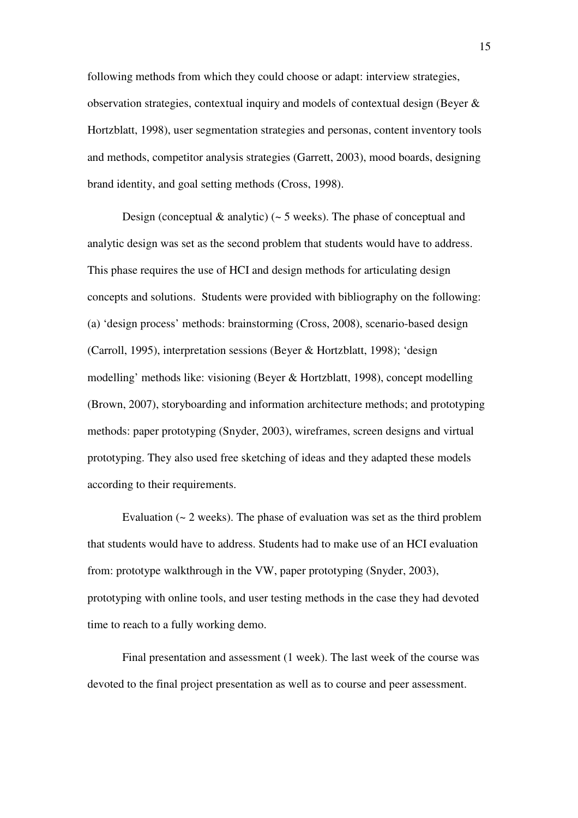following methods from which they could choose or adapt: interview strategies, observation strategies, contextual inquiry and models of contextual design (Beyer & Hortzblatt, 1998), user segmentation strategies and personas, content inventory tools and methods, competitor analysis strategies (Garrett, 2003), mood boards, designing brand identity, and goal setting methods (Cross, 1998).

Design (conceptual  $\&$  analytic) ( $\sim$  5 weeks). The phase of conceptual and analytic design was set as the second problem that students would have to address. This phase requires the use of HCI and design methods for articulating design concepts and solutions. Students were provided with bibliography on the following: (a) 'design process' methods: brainstorming (Cross, 2008), scenario-based design (Carroll, 1995), interpretation sessions (Beyer & Hortzblatt, 1998); 'design modelling' methods like: visioning (Beyer & Hortzblatt, 1998), concept modelling (Brown, 2007), storyboarding and information architecture methods; and prototyping methods: paper prototyping (Snyder, 2003), wireframes, screen designs and virtual prototyping. They also used free sketching of ideas and they adapted these models according to their requirements.

Evaluation  $\left(\sim 2 \text{ weeks}\right)$ . The phase of evaluation was set as the third problem that students would have to address. Students had to make use of an HCI evaluation from: prototype walkthrough in the VW, paper prototyping (Snyder, 2003), prototyping with online tools, and user testing methods in the case they had devoted time to reach to a fully working demo.

Final presentation and assessment (1 week). The last week of the course was devoted to the final project presentation as well as to course and peer assessment.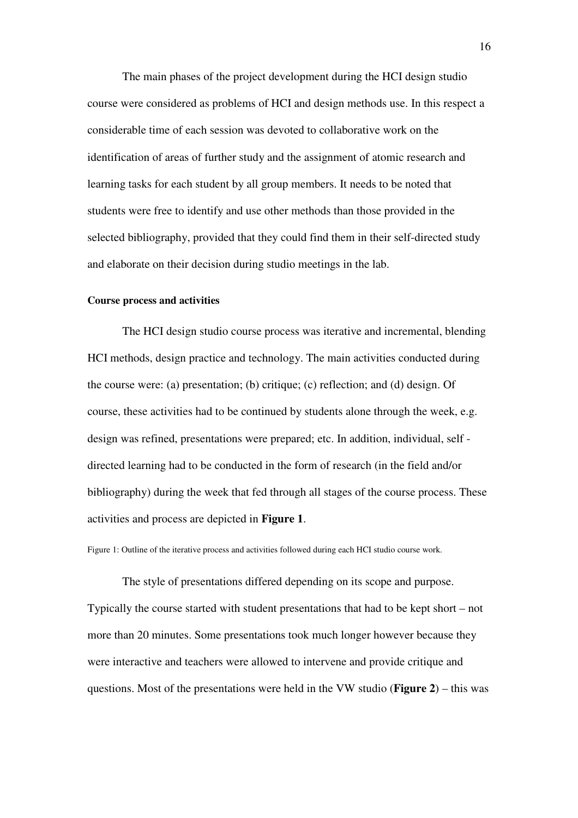The main phases of the project development during the HCI design studio course were considered as problems of HCI and design methods use. In this respect a considerable time of each session was devoted to collaborative work on the identification of areas of further study and the assignment of atomic research and learning tasks for each student by all group members. It needs to be noted that students were free to identify and use other methods than those provided in the selected bibliography, provided that they could find them in their self-directed study and elaborate on their decision during studio meetings in the lab.

#### **Course process and activities**

The HCI design studio course process was iterative and incremental, blending HCI methods, design practice and technology. The main activities conducted during the course were: (a) presentation; (b) critique; (c) reflection; and (d) design. Of course, these activities had to be continued by students alone through the week, e.g. design was refined, presentations were prepared; etc. In addition, individual, self directed learning had to be conducted in the form of research (in the field and/or bibliography) during the week that fed through all stages of the course process. These activities and process are depicted in **Figure 1**.

Figure 1: Outline of the iterative process and activities followed during each HCI studio course work.

The style of presentations differed depending on its scope and purpose. Typically the course started with student presentations that had to be kept short – not more than 20 minutes. Some presentations took much longer however because they were interactive and teachers were allowed to intervene and provide critique and questions. Most of the presentations were held in the VW studio (**Figure 2**) – this was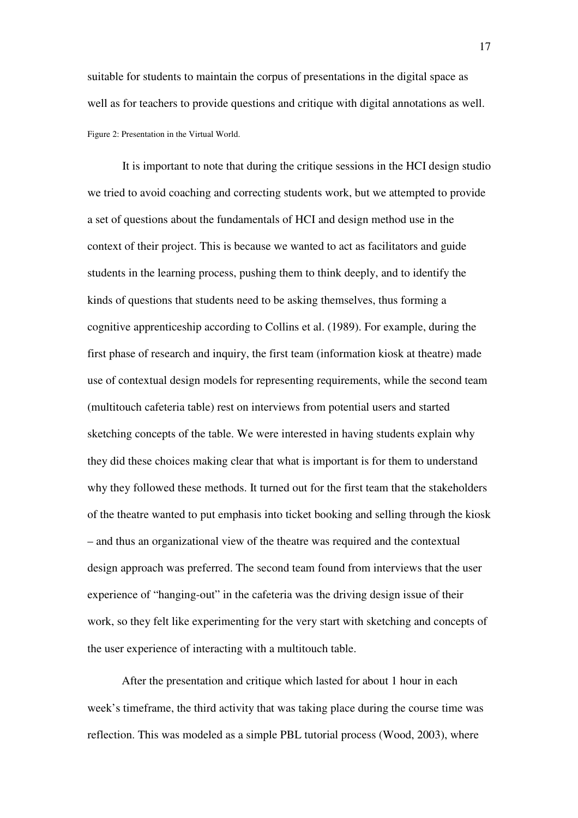suitable for students to maintain the corpus of presentations in the digital space as well as for teachers to provide questions and critique with digital annotations as well. Figure 2: Presentation in the Virtual World.

It is important to note that during the critique sessions in the HCI design studio we tried to avoid coaching and correcting students work, but we attempted to provide a set of questions about the fundamentals of HCI and design method use in the context of their project. This is because we wanted to act as facilitators and guide students in the learning process, pushing them to think deeply, and to identify the kinds of questions that students need to be asking themselves, thus forming a cognitive apprenticeship according to Collins et al. (1989). For example, during the first phase of research and inquiry, the first team (information kiosk at theatre) made use of contextual design models for representing requirements, while the second team (multitouch cafeteria table) rest on interviews from potential users and started sketching concepts of the table. We were interested in having students explain why they did these choices making clear that what is important is for them to understand why they followed these methods. It turned out for the first team that the stakeholders of the theatre wanted to put emphasis into ticket booking and selling through the kiosk – and thus an organizational view of the theatre was required and the contextual design approach was preferred. The second team found from interviews that the user experience of "hanging-out" in the cafeteria was the driving design issue of their work, so they felt like experimenting for the very start with sketching and concepts of the user experience of interacting with a multitouch table.

After the presentation and critique which lasted for about 1 hour in each week's timeframe, the third activity that was taking place during the course time was reflection. This was modeled as a simple PBL tutorial process (Wood, 2003), where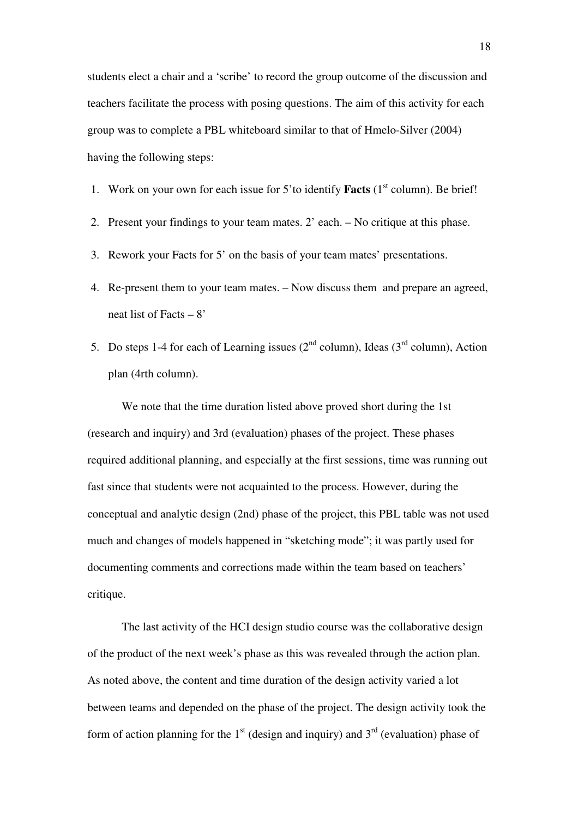students elect a chair and a 'scribe' to record the group outcome of the discussion and teachers facilitate the process with posing questions. The aim of this activity for each group was to complete a PBL whiteboard similar to that of Hmelo-Silver (2004) having the following steps:

- 1. Work on your own for each issue for 5'to identify **Facts** (1<sup>st</sup> column). Be brief!
- 2. Present your findings to your team mates. 2' each. No critique at this phase.
- 3. Rework your Facts for 5' on the basis of your team mates' presentations.
- 4. Re-present them to your team mates. Now discuss them and prepare an agreed, neat list of Facts  $-8$ '
- 5. Do steps 1-4 for each of Learning issues  $(2<sup>nd</sup>$  column), Ideas  $(3<sup>rd</sup>$  column), Action plan (4rth column).

We note that the time duration listed above proved short during the 1st (research and inquiry) and 3rd (evaluation) phases of the project. These phases required additional planning, and especially at the first sessions, time was running out fast since that students were not acquainted to the process. However, during the conceptual and analytic design (2nd) phase of the project, this PBL table was not used much and changes of models happened in "sketching mode"; it was partly used for documenting comments and corrections made within the team based on teachers' critique.

The last activity of the HCI design studio course was the collaborative design of the product of the next week's phase as this was revealed through the action plan. As noted above, the content and time duration of the design activity varied a lot between teams and depended on the phase of the project. The design activity took the form of action planning for the  $1<sup>st</sup>$  (design and inquiry) and  $3<sup>rd</sup>$  (evaluation) phase of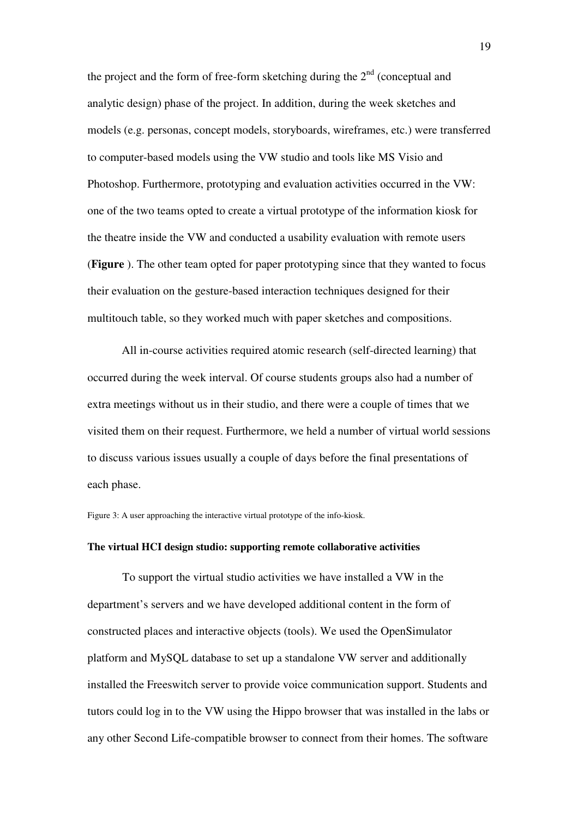the project and the form of free-form sketching during the  $2<sup>nd</sup>$  (conceptual and analytic design) phase of the project. In addition, during the week sketches and models (e.g. personas, concept models, storyboards, wireframes, etc.) were transferred to computer-based models using the VW studio and tools like MS Visio and Photoshop. Furthermore, prototyping and evaluation activities occurred in the VW: one of the two teams opted to create a virtual prototype of the information kiosk for the theatre inside the VW and conducted a usability evaluation with remote users (**Figure** ). The other team opted for paper prototyping since that they wanted to focus their evaluation on the gesture-based interaction techniques designed for their multitouch table, so they worked much with paper sketches and compositions.

All in-course activities required atomic research (self-directed learning) that occurred during the week interval. Of course students groups also had a number of extra meetings without us in their studio, and there were a couple of times that we visited them on their request. Furthermore, we held a number of virtual world sessions to discuss various issues usually a couple of days before the final presentations of each phase.

Figure 3: A user approaching the interactive virtual prototype of the info-kiosk.

### **The virtual HCI design studio: supporting remote collaborative activities**

To support the virtual studio activities we have installed a VW in the department's servers and we have developed additional content in the form of constructed places and interactive objects (tools). We used the OpenSimulator platform and MySQL database to set up a standalone VW server and additionally installed the Freeswitch server to provide voice communication support. Students and tutors could log in to the VW using the Hippo browser that was installed in the labs or any other Second Life-compatible browser to connect from their homes. The software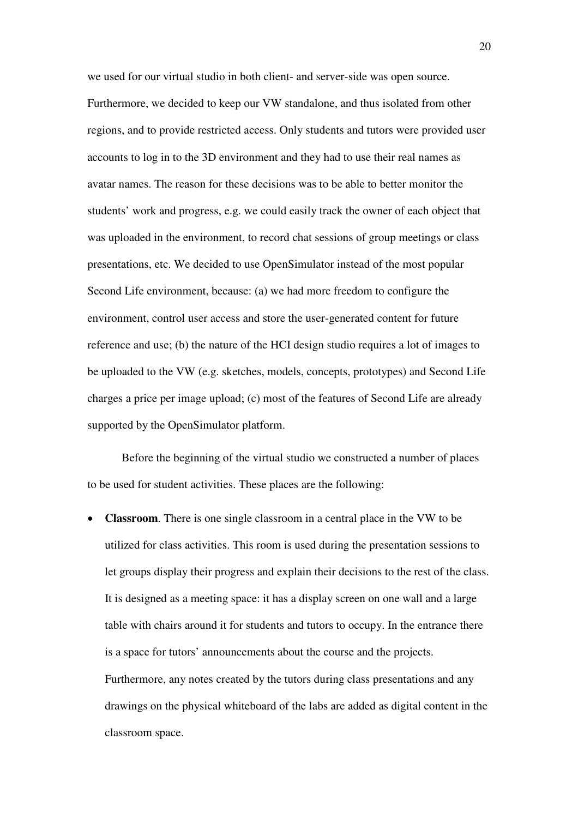we used for our virtual studio in both client- and server-side was open source. Furthermore, we decided to keep our VW standalone, and thus isolated from other regions, and to provide restricted access. Only students and tutors were provided user accounts to log in to the 3D environment and they had to use their real names as avatar names. The reason for these decisions was to be able to better monitor the students' work and progress, e.g. we could easily track the owner of each object that was uploaded in the environment, to record chat sessions of group meetings or class presentations, etc. We decided to use OpenSimulator instead of the most popular Second Life environment, because: (a) we had more freedom to configure the environment, control user access and store the user-generated content for future reference and use; (b) the nature of the HCI design studio requires a lot of images to be uploaded to the VW (e.g. sketches, models, concepts, prototypes) and Second Life charges a price per image upload; (c) most of the features of Second Life are already supported by the OpenSimulator platform.

Before the beginning of the virtual studio we constructed a number of places to be used for student activities. These places are the following:

• **Classroom**. There is one single classroom in a central place in the VW to be utilized for class activities. This room is used during the presentation sessions to let groups display their progress and explain their decisions to the rest of the class. It is designed as a meeting space: it has a display screen on one wall and a large table with chairs around it for students and tutors to occupy. In the entrance there is a space for tutors' announcements about the course and the projects. Furthermore, any notes created by the tutors during class presentations and any drawings on the physical whiteboard of the labs are added as digital content in the classroom space.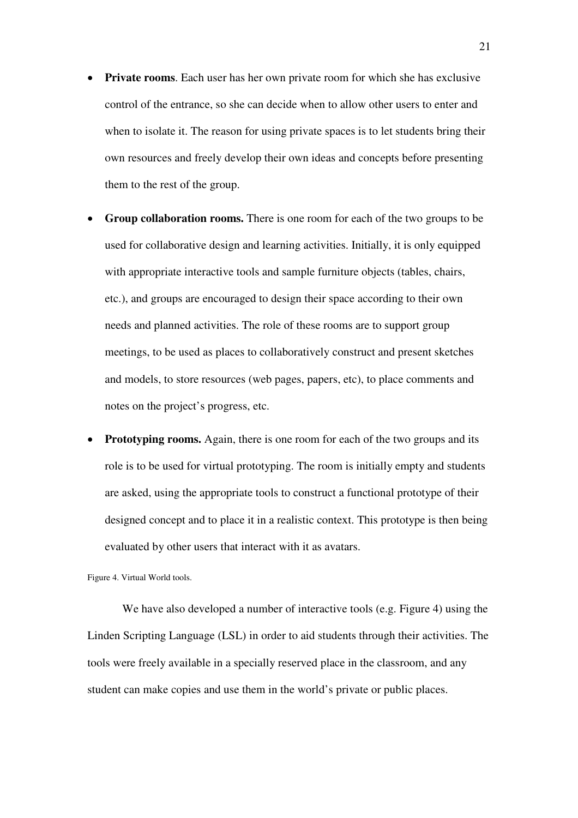- **Private rooms**. Each user has her own private room for which she has exclusive control of the entrance, so she can decide when to allow other users to enter and when to isolate it. The reason for using private spaces is to let students bring their own resources and freely develop their own ideas and concepts before presenting them to the rest of the group.
- **Group collaboration rooms.** There is one room for each of the two groups to be used for collaborative design and learning activities. Initially, it is only equipped with appropriate interactive tools and sample furniture objects (tables, chairs, etc.), and groups are encouraged to design their space according to their own needs and planned activities. The role of these rooms are to support group meetings, to be used as places to collaboratively construct and present sketches and models, to store resources (web pages, papers, etc), to place comments and notes on the project's progress, etc.
- **Prototyping rooms.** Again, there is one room for each of the two groups and its role is to be used for virtual prototyping. The room is initially empty and students are asked, using the appropriate tools to construct a functional prototype of their designed concept and to place it in a realistic context. This prototype is then being evaluated by other users that interact with it as avatars.

Figure 4. Virtual World tools.

We have also developed a number of interactive tools (e.g. Figure 4) using the Linden Scripting Language (LSL) in order to aid students through their activities. The tools were freely available in a specially reserved place in the classroom, and any student can make copies and use them in the world's private or public places.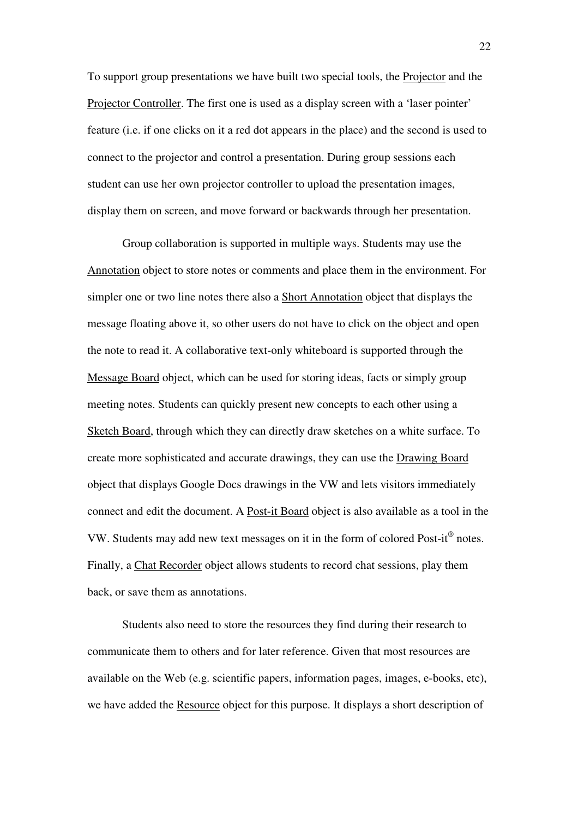To support group presentations we have built two special tools, the Projector and the Projector Controller. The first one is used as a display screen with a 'laser pointer' feature (i.e. if one clicks on it a red dot appears in the place) and the second is used to connect to the projector and control a presentation. During group sessions each student can use her own projector controller to upload the presentation images, display them on screen, and move forward or backwards through her presentation.

Group collaboration is supported in multiple ways. Students may use the Annotation object to store notes or comments and place them in the environment. For simpler one or two line notes there also a Short Annotation object that displays the message floating above it, so other users do not have to click on the object and open the note to read it. A collaborative text-only whiteboard is supported through the Message Board object, which can be used for storing ideas, facts or simply group meeting notes. Students can quickly present new concepts to each other using a Sketch Board, through which they can directly draw sketches on a white surface. To create more sophisticated and accurate drawings, they can use the Drawing Board object that displays Google Docs drawings in the VW and lets visitors immediately connect and edit the document. A Post-it Board object is also available as a tool in the VW. Students may add new text messages on it in the form of colored Post-it® notes. Finally, a Chat Recorder object allows students to record chat sessions, play them back, or save them as annotations.

Students also need to store the resources they find during their research to communicate them to others and for later reference. Given that most resources are available on the Web (e.g. scientific papers, information pages, images, e-books, etc), we have added the Resource object for this purpose. It displays a short description of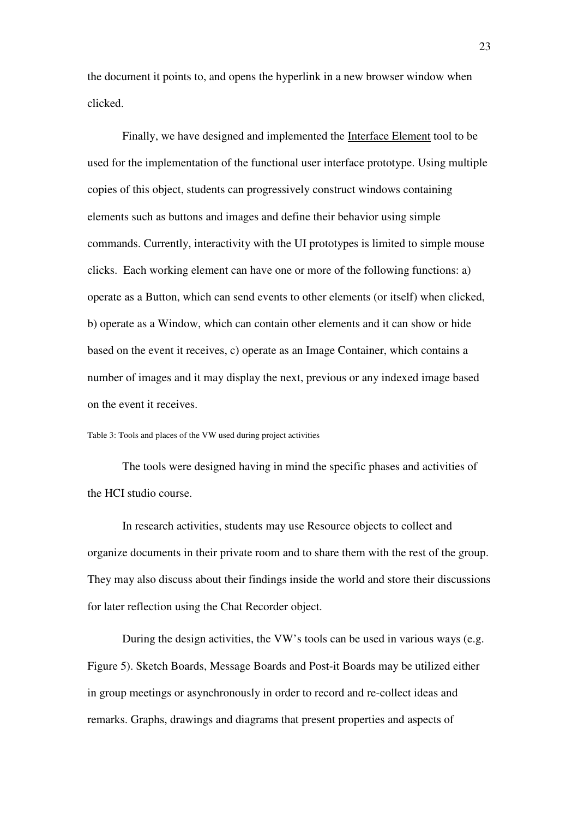the document it points to, and opens the hyperlink in a new browser window when clicked.

Finally, we have designed and implemented the Interface Element tool to be used for the implementation of the functional user interface prototype. Using multiple copies of this object, students can progressively construct windows containing elements such as buttons and images and define their behavior using simple commands. Currently, interactivity with the UI prototypes is limited to simple mouse clicks. Each working element can have one or more of the following functions: a) operate as a Button, which can send events to other elements (or itself) when clicked, b) operate as a Window, which can contain other elements and it can show or hide based on the event it receives, c) operate as an Image Container, which contains a number of images and it may display the next, previous or any indexed image based on the event it receives.

Table 3: Tools and places of the VW used during project activities

The tools were designed having in mind the specific phases and activities of the HCI studio course.

In research activities, students may use Resource objects to collect and organize documents in their private room and to share them with the rest of the group. They may also discuss about their findings inside the world and store their discussions for later reflection using the Chat Recorder object.

During the design activities, the VW's tools can be used in various ways (e.g. Figure 5). Sketch Boards, Message Boards and Post-it Boards may be utilized either in group meetings or asynchronously in order to record and re-collect ideas and remarks. Graphs, drawings and diagrams that present properties and aspects of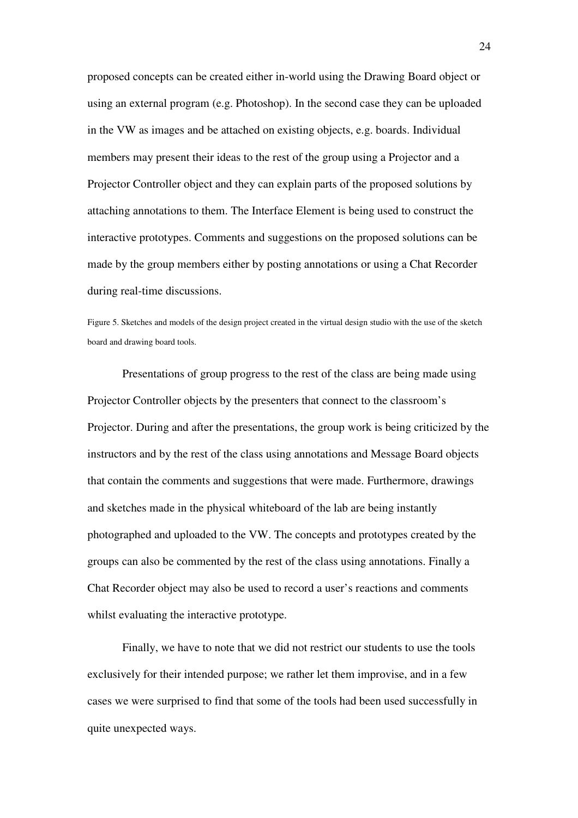proposed concepts can be created either in-world using the Drawing Board object or using an external program (e.g. Photoshop). In the second case they can be uploaded in the VW as images and be attached on existing objects, e.g. boards. Individual members may present their ideas to the rest of the group using a Projector and a Projector Controller object and they can explain parts of the proposed solutions by attaching annotations to them. The Interface Element is being used to construct the interactive prototypes. Comments and suggestions on the proposed solutions can be made by the group members either by posting annotations or using a Chat Recorder during real-time discussions.

Figure 5. Sketches and models of the design project created in the virtual design studio with the use of the sketch board and drawing board tools.

Presentations of group progress to the rest of the class are being made using Projector Controller objects by the presenters that connect to the classroom's Projector. During and after the presentations, the group work is being criticized by the instructors and by the rest of the class using annotations and Message Board objects that contain the comments and suggestions that were made. Furthermore, drawings and sketches made in the physical whiteboard of the lab are being instantly photographed and uploaded to the VW. The concepts and prototypes created by the groups can also be commented by the rest of the class using annotations. Finally a Chat Recorder object may also be used to record a user's reactions and comments whilst evaluating the interactive prototype.

Finally, we have to note that we did not restrict our students to use the tools exclusively for their intended purpose; we rather let them improvise, and in a few cases we were surprised to find that some of the tools had been used successfully in quite unexpected ways.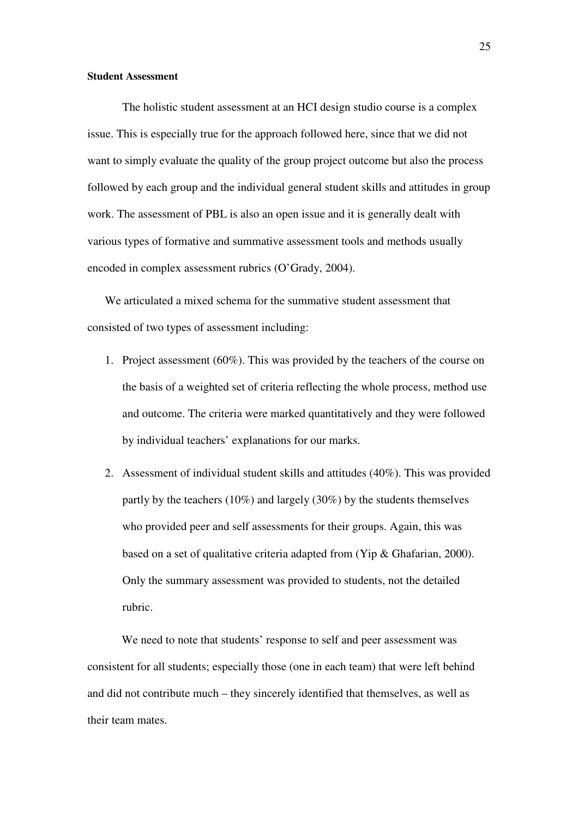#### **Student Assessment**

The holistic student assessment at an HCI design studio course is a complex issue. This is especially true for the approach followed here, since that we did not want to simply evaluate the quality of the group project outcome but also the process followed by each group and the individual general student skills and attitudes in group work. The assessment of PBL is also an open issue and it is generally dealt with various types of formative and summative assessment tools and methods usually encoded in complex assessment rubrics (O'Grady, 2004).

We articulated a mixed schema for the summative student assessment that consisted of two types of assessment including:

- 1. Project assessment (60%). This was provided by the teachers of the course on the basis of a weighted set of criteria reflecting the whole process, method use and outcome. The criteria were marked quantitatively and they were followed by individual teachers' explanations for our marks.
- 2. Assessment of individual student skills and attitudes (40%). This was provided partly by the teachers (10%) and largely (30%) by the students themselves who provided peer and self assessments for their groups. Again, this was based on a set of qualitative criteria adapted from (Yip & Ghafarian, 2000). Only the summary assessment was provided to students, not the detailed rubric.

We need to note that students' response to self and peer assessment was consistent for all students; especially those (one in each team) that were left behind and did not contribute much – they sincerely identified that themselves, as well as their team mates.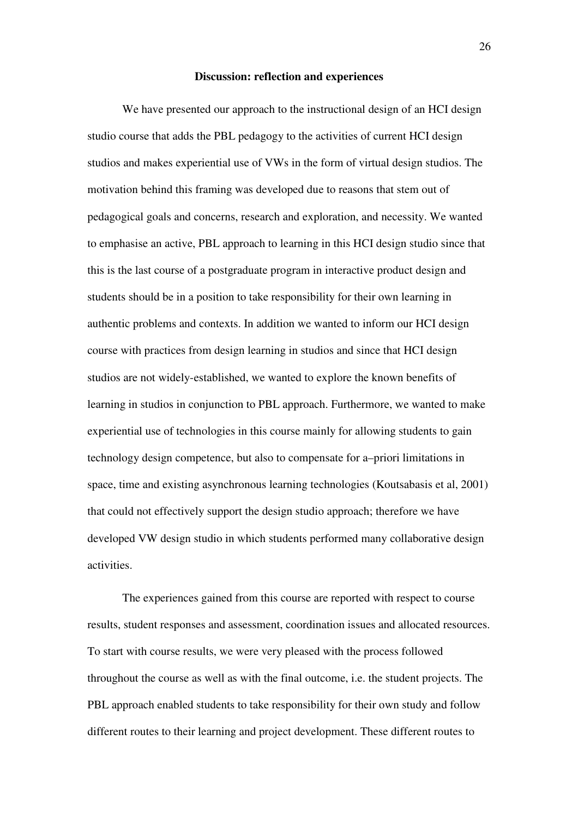### **Discussion: reflection and experiences**

We have presented our approach to the instructional design of an HCI design studio course that adds the PBL pedagogy to the activities of current HCI design studios and makes experiential use of VWs in the form of virtual design studios. The motivation behind this framing was developed due to reasons that stem out of pedagogical goals and concerns, research and exploration, and necessity. We wanted to emphasise an active, PBL approach to learning in this HCI design studio since that this is the last course of a postgraduate program in interactive product design and students should be in a position to take responsibility for their own learning in authentic problems and contexts. In addition we wanted to inform our HCI design course with practices from design learning in studios and since that HCI design studios are not widely-established, we wanted to explore the known benefits of learning in studios in conjunction to PBL approach. Furthermore, we wanted to make experiential use of technologies in this course mainly for allowing students to gain technology design competence, but also to compensate for a–priori limitations in space, time and existing asynchronous learning technologies (Koutsabasis et al, 2001) that could not effectively support the design studio approach; therefore we have developed VW design studio in which students performed many collaborative design activities.

The experiences gained from this course are reported with respect to course results, student responses and assessment, coordination issues and allocated resources. To start with course results, we were very pleased with the process followed throughout the course as well as with the final outcome, i.e. the student projects. The PBL approach enabled students to take responsibility for their own study and follow different routes to their learning and project development. These different routes to

26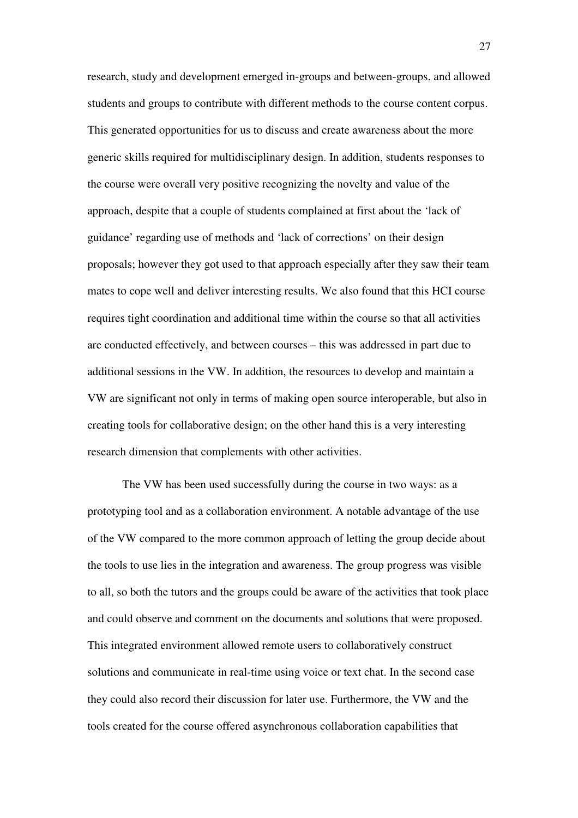research, study and development emerged in-groups and between-groups, and allowed students and groups to contribute with different methods to the course content corpus. This generated opportunities for us to discuss and create awareness about the more generic skills required for multidisciplinary design. In addition, students responses to the course were overall very positive recognizing the novelty and value of the approach, despite that a couple of students complained at first about the 'lack of guidance' regarding use of methods and 'lack of corrections' on their design proposals; however they got used to that approach especially after they saw their team mates to cope well and deliver interesting results. We also found that this HCI course requires tight coordination and additional time within the course so that all activities are conducted effectively, and between courses – this was addressed in part due to additional sessions in the VW. In addition, the resources to develop and maintain a VW are significant not only in terms of making open source interoperable, but also in creating tools for collaborative design; on the other hand this is a very interesting research dimension that complements with other activities.

The VW has been used successfully during the course in two ways: as a prototyping tool and as a collaboration environment. A notable advantage of the use of the VW compared to the more common approach of letting the group decide about the tools to use lies in the integration and awareness. The group progress was visible to all, so both the tutors and the groups could be aware of the activities that took place and could observe and comment on the documents and solutions that were proposed. This integrated environment allowed remote users to collaboratively construct solutions and communicate in real-time using voice or text chat. In the second case they could also record their discussion for later use. Furthermore, the VW and the tools created for the course offered asynchronous collaboration capabilities that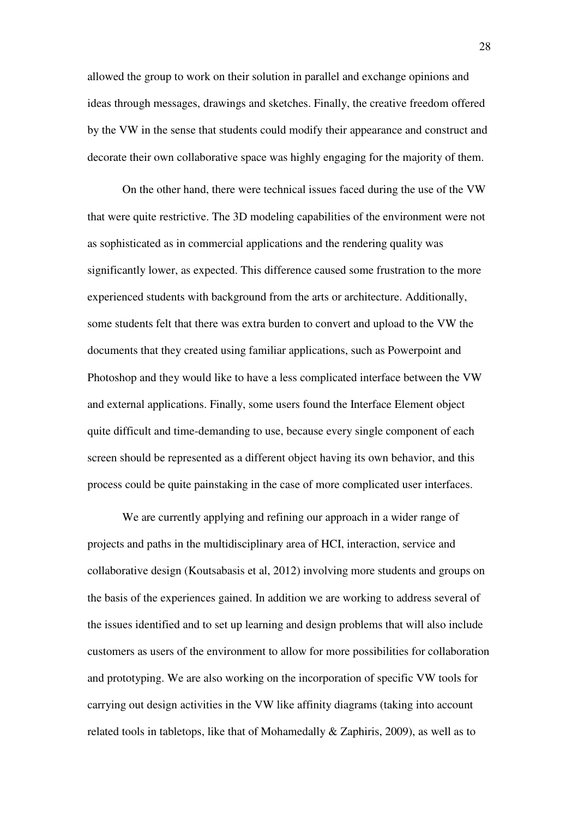allowed the group to work on their solution in parallel and exchange opinions and ideas through messages, drawings and sketches. Finally, the creative freedom offered by the VW in the sense that students could modify their appearance and construct and decorate their own collaborative space was highly engaging for the majority of them.

On the other hand, there were technical issues faced during the use of the VW that were quite restrictive. The 3D modeling capabilities of the environment were not as sophisticated as in commercial applications and the rendering quality was significantly lower, as expected. This difference caused some frustration to the more experienced students with background from the arts or architecture. Additionally, some students felt that there was extra burden to convert and upload to the VW the documents that they created using familiar applications, such as Powerpoint and Photoshop and they would like to have a less complicated interface between the VW and external applications. Finally, some users found the Interface Element object quite difficult and time-demanding to use, because every single component of each screen should be represented as a different object having its own behavior, and this process could be quite painstaking in the case of more complicated user interfaces.

We are currently applying and refining our approach in a wider range of projects and paths in the multidisciplinary area of HCI, interaction, service and collaborative design (Koutsabasis et al, 2012) involving more students and groups on the basis of the experiences gained. In addition we are working to address several of the issues identified and to set up learning and design problems that will also include customers as users of the environment to allow for more possibilities for collaboration and prototyping. We are also working on the incorporation of specific VW tools for carrying out design activities in the VW like affinity diagrams (taking into account related tools in tabletops, like that of Mohamedally & Zaphiris, 2009), as well as to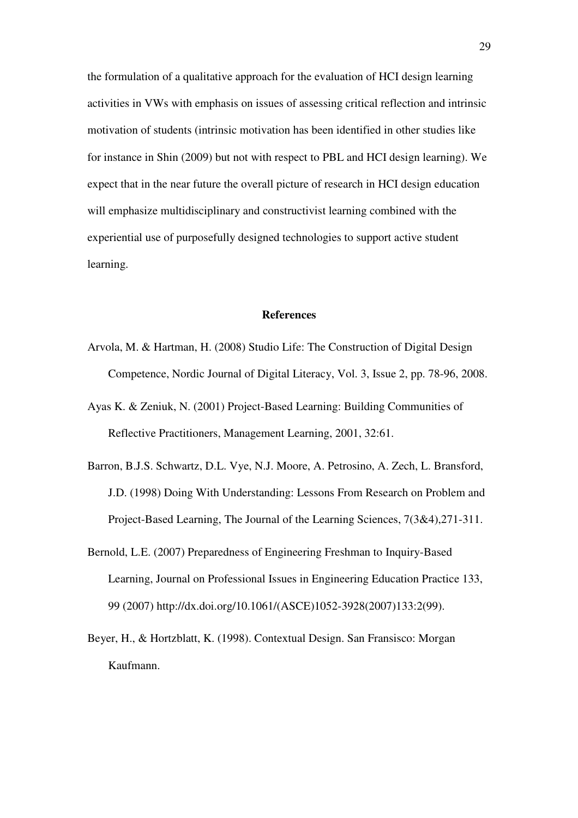the formulation of a qualitative approach for the evaluation of HCI design learning activities in VWs with emphasis on issues of assessing critical reflection and intrinsic motivation of students (intrinsic motivation has been identified in other studies like for instance in Shin (2009) but not with respect to PBL and HCI design learning). We expect that in the near future the overall picture of research in HCI design education will emphasize multidisciplinary and constructivist learning combined with the experiential use of purposefully designed technologies to support active student learning.

# **References**

- Arvola, M. & Hartman, H. (2008) Studio Life: The Construction of Digital Design Competence, Nordic Journal of Digital Literacy, Vol. 3, Issue 2, pp. 78-96, 2008.
- Ayas K. & Zeniuk, N. (2001) Project-Based Learning: Building Communities of Reflective Practitioners, Management Learning, 2001, 32:61.
- Barron, B.J.S. Schwartz, D.L. Vye, N.J. Moore, A. Petrosino, A. Zech, L. Bransford, J.D. (1998) Doing With Understanding: Lessons From Research on Problem and Project-Based Learning, The Journal of the Learning Sciences, 7(3&4),271-311.
- Bernold, L.E. (2007) Preparedness of Engineering Freshman to Inquiry-Based Learning, Journal on Professional Issues in Engineering Education Practice 133, 99 (2007) http://dx.doi.org/10.1061/(ASCE)1052-3928(2007)133:2(99).
- Beyer, H., & Hortzblatt, K. (1998). Contextual Design. San Fransisco: Morgan Kaufmann.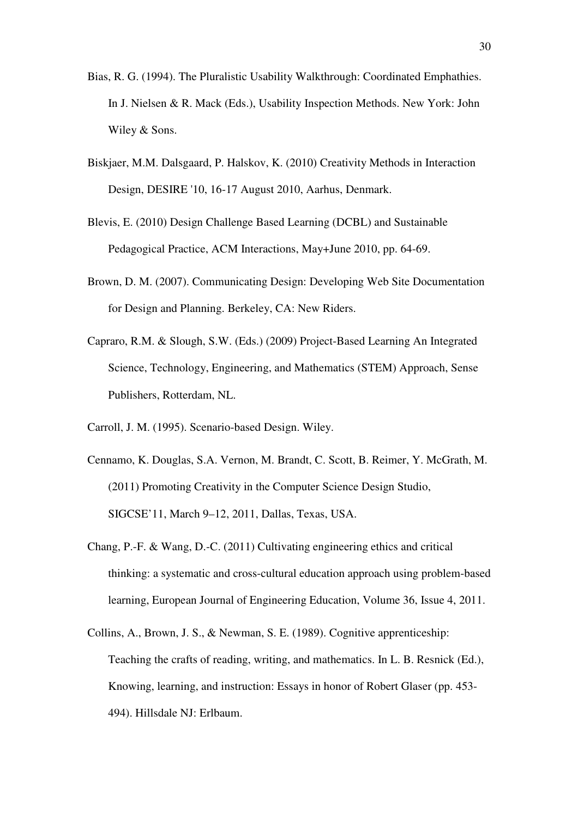- Bias, R. G. (1994). The Pluralistic Usability Walkthrough: Coordinated Emphathies. In J. Nielsen & R. Mack (Eds.), Usability Inspection Methods. New York: John Wiley & Sons.
- Biskjaer, M.M. Dalsgaard, P. Halskov, K. (2010) Creativity Methods in Interaction Design, DESIRE '10, 16-17 August 2010, Aarhus, Denmark.
- Blevis, E. (2010) Design Challenge Based Learning (DCBL) and Sustainable Pedagogical Practice, ACM Interactions, May+June 2010, pp. 64-69.
- Brown, D. M. (2007). Communicating Design: Developing Web Site Documentation for Design and Planning. Berkeley, CA: New Riders.
- Capraro, R.M. & Slough, S.W. (Eds.) (2009) Project-Based Learning An Integrated Science, Technology, Engineering, and Mathematics (STEM) Approach, Sense Publishers, Rotterdam, NL.
- Carroll, J. M. (1995). Scenario-based Design. Wiley.
- Cennamo, K. Douglas, S.A. Vernon, M. Brandt, C. Scott, B. Reimer, Y. McGrath, M. (2011) Promoting Creativity in the Computer Science Design Studio, SIGCSE'11, March 9–12, 2011, Dallas, Texas, USA.
- Chang, P.-F. & Wang, D.-C. (2011) Cultivating engineering ethics and critical thinking: a systematic and cross-cultural education approach using problem-based learning, European Journal of Engineering Education, Volume 36, Issue 4, 2011.
- Collins, A., Brown, J. S., & Newman, S. E. (1989). Cognitive apprenticeship: Teaching the crafts of reading, writing, and mathematics. In L. B. Resnick (Ed.), Knowing, learning, and instruction: Essays in honor of Robert Glaser (pp. 453- 494). Hillsdale NJ: Erlbaum.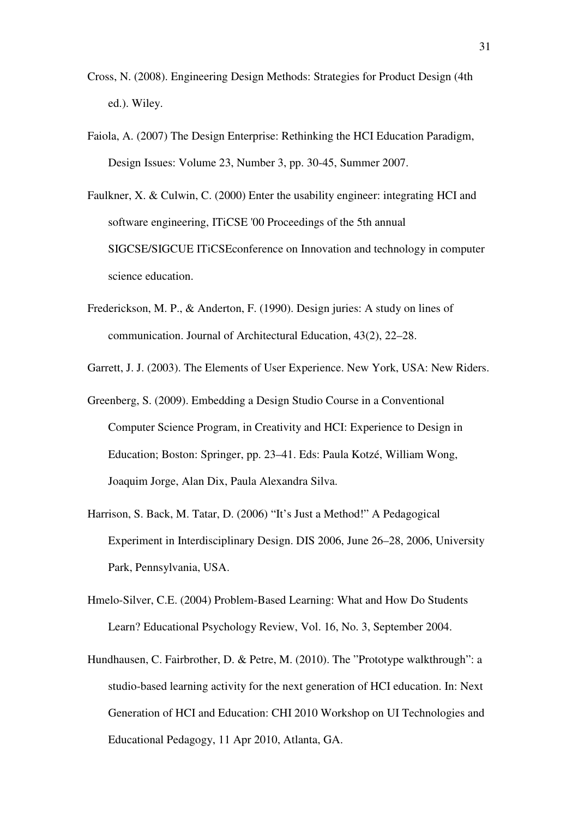- Cross, N. (2008). Engineering Design Methods: Strategies for Product Design (4th ed.). Wiley.
- Faiola, A. (2007) The Design Enterprise: Rethinking the HCI Education Paradigm, Design Issues: Volume 23, Number 3, pp. 30-45, Summer 2007.
- Faulkner, X. & Culwin, C. (2000) Enter the usability engineer: integrating HCI and software engineering, ITiCSE '00 Proceedings of the 5th annual SIGCSE/SIGCUE ITiCSEconference on Innovation and technology in computer science education.
- Frederickson, M. P., & Anderton, F. (1990). Design juries: A study on lines of communication. Journal of Architectural Education, 43(2), 22–28.
- Garrett, J. J. (2003). The Elements of User Experience. New York, USA: New Riders.
- Greenberg, S. (2009). Embedding a Design Studio Course in a Conventional Computer Science Program, in Creativity and HCI: Experience to Design in Education; Boston: Springer, pp. 23–41. Eds: Paula Kotzé, William Wong, Joaquim Jorge, Alan Dix, Paula Alexandra Silva.
- Harrison, S. Back, M. Tatar, D. (2006) "It's Just a Method!" A Pedagogical Experiment in Interdisciplinary Design. DIS 2006, June 26–28, 2006, University Park, Pennsylvania, USA.
- Hmelo-Silver, C.E. (2004) Problem-Based Learning: What and How Do Students Learn? Educational Psychology Review, Vol. 16, No. 3, September 2004.
- Hundhausen, C. Fairbrother, D. & Petre, M. (2010). The "Prototype walkthrough": a studio-based learning activity for the next generation of HCI education. In: Next Generation of HCI and Education: CHI 2010 Workshop on UI Technologies and Educational Pedagogy, 11 Apr 2010, Atlanta, GA.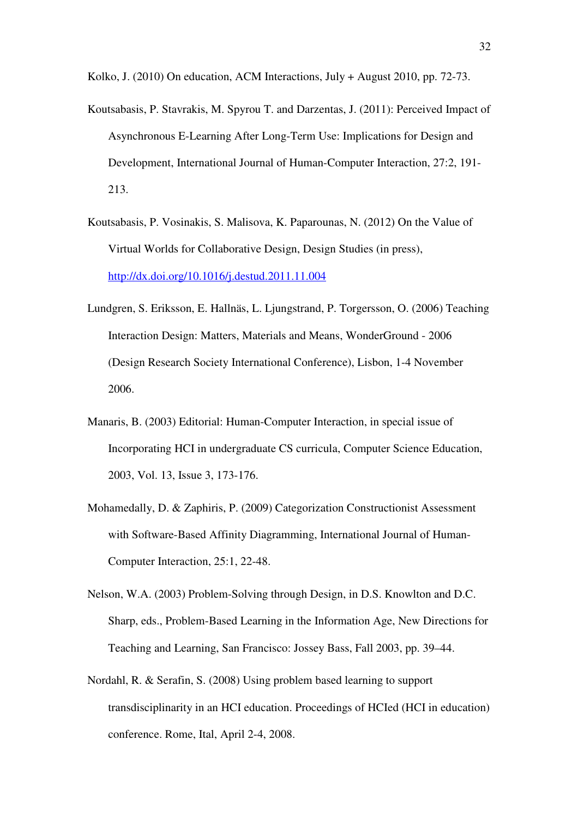Kolko, J. (2010) On education, ACM Interactions, July + August 2010, pp. 72-73.

- Koutsabasis, P. Stavrakis, M. Spyrou T. and Darzentas, J. (2011): Perceived Impact of Asynchronous E-Learning After Long-Term Use: Implications for Design and Development, International Journal of Human-Computer Interaction, 27:2, 191- 213.
- Koutsabasis, P. Vosinakis, S. Malisova, K. Paparounas, N. (2012) On the Value of Virtual Worlds for Collaborative Design, Design Studies (in press), http://dx.doi.org/10.1016/j.destud.2011.11.004
- Lundgren, S. Eriksson, E. Hallnäs, L. Ljungstrand, P. Torgersson, O. (2006) Teaching Interaction Design: Matters, Materials and Means, WonderGround - 2006 (Design Research Society International Conference), Lisbon, 1-4 November 2006.
- Manaris, B. (2003) Editorial: Human-Computer Interaction, in special issue of Incorporating HCI in undergraduate CS curricula, Computer Science Education, 2003, Vol. 13, Issue 3, 173-176.
- Mohamedally, D. & Zaphiris, P. (2009) Categorization Constructionist Assessment with Software-Based Affinity Diagramming, International Journal of Human-Computer Interaction, 25:1, 22-48.
- Nelson, W.A. (2003) Problem-Solving through Design, in D.S. Knowlton and D.C. Sharp, eds., Problem-Based Learning in the Information Age, New Directions for Teaching and Learning, San Francisco: Jossey Bass, Fall 2003, pp. 39–44.
- Nordahl, R. & Serafin, S. (2008) Using problem based learning to support transdisciplinarity in an HCI education. Proceedings of HCIed (HCI in education) conference. Rome, Ital, April 2-4, 2008.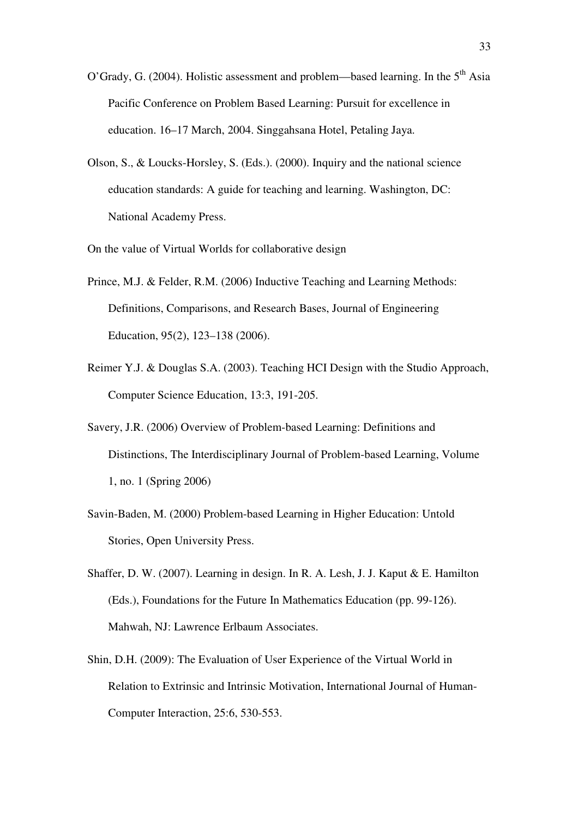- O'Grady, G. (2004). Holistic assessment and problem—based learning. In the  $5<sup>th</sup>$  Asia Pacific Conference on Problem Based Learning: Pursuit for excellence in education. 16–17 March, 2004. Singgahsana Hotel, Petaling Jaya.
- Olson, S., & Loucks-Horsley, S. (Eds.). (2000). Inquiry and the national science education standards: A guide for teaching and learning. Washington, DC: National Academy Press.
- On the value of Virtual Worlds for collaborative design
- Prince, M.J. & Felder, R.M. (2006) Inductive Teaching and Learning Methods: Definitions, Comparisons, and Research Bases, Journal of Engineering Education, 95(2), 123–138 (2006).
- Reimer Y.J. & Douglas S.A. (2003). Teaching HCI Design with the Studio Approach, Computer Science Education, 13:3, 191-205.
- Savery, J.R. (2006) Overview of Problem-based Learning: Definitions and Distinctions, The Interdisciplinary Journal of Problem-based Learning, Volume 1, no. 1 (Spring 2006)
- Savin-Baden, M. (2000) Problem-based Learning in Higher Education: Untold Stories, Open University Press.
- Shaffer, D. W. (2007). Learning in design. In R. A. Lesh, J. J. Kaput & E. Hamilton (Eds.), Foundations for the Future In Mathematics Education (pp. 99-126). Mahwah, NJ: Lawrence Erlbaum Associates.
- Shin, D.H. (2009): The Evaluation of User Experience of the Virtual World in Relation to Extrinsic and Intrinsic Motivation, International Journal of Human-Computer Interaction, 25:6, 530-553.